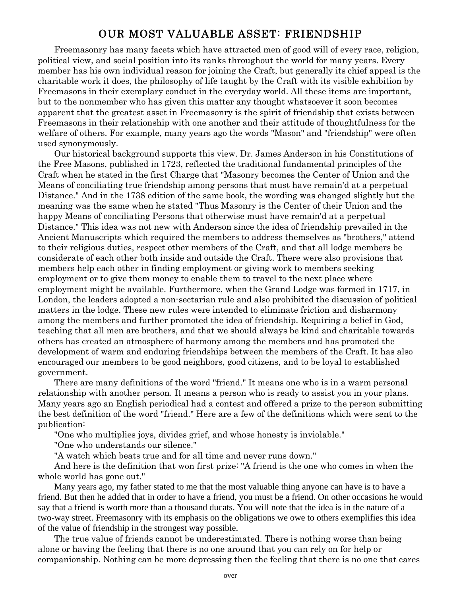## OUR MOST VALUABLE ASSET: FRIENDSHIP

Freemasonry has many facets which have attracted men of good will of every race, religion, political view, and social position into its ranks throughout the world for many years. Every member has his own individual reason for joining the Craft, but generally its chief appeal is the charitable work it does, the philosophy of life taught by the Craft with its visible exhibition by Freemasons in their exemplary conduct in the everyday world. All these items are important, but to the nonmember who has given this matter any thought whatsoever it soon becomes apparent that the greatest asset in Freemasonry is the spirit of friendship that exists between Freemasons in their relationship with one another and their attitude of thoughtfulness for the welfare of others. For example, many years ago the words "Mason" and "friendship" were often used synonymously.

Our historical background supports this view. Dr. James Anderson in his Constitutions of the Free Masons, published in 1723, reflected the traditional fundamental principles of the Craft when he stated in the first Charge that "Masonry becomes the Center of Union and the Means of conciliating true friendship among persons that must have remain'd at a perpetual Distance." And in the 1738 edition of the same book, the wording was changed slightly but the meaning was the same when he stated "Thus Masonry is the Center of their Union and the happy Means of conciliating Persons that otherwise must have remain'd at a perpetual Distance." This idea was not new with Anderson since the idea of friendship prevailed in the Ancient Manuscripts which required the members to address themselves as "brothers," attend to their religious duties, respect other members of the Craft, and that all lodge members be considerate of each other both inside and outside the Craft. There were also provisions that members help each other in finding employment or giving work to members seeking employment or to give them money to enable them to travel to the next place where employment might be available. Furthermore, when the Grand Lodge was formed in 1717, in London, the leaders adopted a non-sectarian rule and also prohibited the discussion of political matters in the lodge. These new rules were intended to eliminate friction and disharmony among the members and further promoted the idea of friendship. Requiring a belief in God, teaching that all men are brothers, and that we should always be kind and charitable towards others has created an atmosphere of harmony among the members and has promoted the development of warm and enduring friendships between the members of the Craft. It has also encouraged our members to be good neighbors, good citizens, and to be loyal to established government.

There are many definitions of the word "friend." It means one who is in a warm personal relationship with another person. It means a person who is ready to assist you in your plans. Many years ago an English periodical had a contest and offered a prize to the person submitting the best definition of the word "friend." Here are a few of the definitions which were sent to the publication:

"One who multiplies joys, divides grief, and whose honesty is inviolable."

"One who understands our silence."

"A watch which beats true and for all time and never runs down."

And here is the definition that won first prize: "A friend is the one who comes in when the whole world has gone out."

Many years ago, my father stated to me that the most valuable thing anyone can have is to have a friend. But then he added that in order to have a friend, you must be a friend. On other occasions he would say that a friend is worth more than a thousand ducats. You will note that the idea is in the nature of a two-way street. Freemasonry with its emphasis on the obligations we owe to others exemplifies this idea of the value of friendship in the strongest way possible.

The true value of friends cannot be underestimated. There is nothing worse than being alone or having the feeling that there is no one around that you can rely on for help or companionship. Nothing can be more depressing then the feeling that there is no one that cares